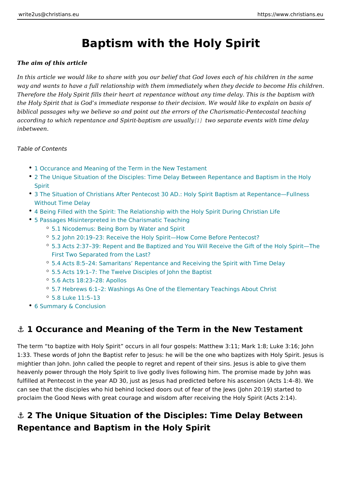# Baptism with the Holy Spirit

The aim of this article

In this article we would like to share with you our belief that God loves each of way and wants to have a full relationship with them immediately when they decid Therefore the Holy Spirit fills their heart at repentance without any time delay. the Holy Spirit that is God s immediate response to their decision. We would like biblical passages why we believe so and point out the errors of the Charismaticaccording to which repentance and Spirit-b[apt](#page-8-0)ism case pues usually events with time del inbetween.

Table of Contents

- 1 Occurance and Meaning of the Term in the New Testament
- 2 The Unique Situation of the Disciples: Time Delay Between Repentance an Spirit
- 3 The Situation of Christians After Pentecost 30 AD.: Holy Spirit Baptism at Without Time Delay
- \* [4 Being Filled with the Spirit: The Relationship with the Holy](#page-3-0) Spirit During C
- [5 Passages Misinterpreted in the Char](#page-3-0)ismatic Teaching
	- [5.1 Nicodemus: Being Born by Wa](#page-4-0)ter and Spirit
	- 5.2 John 20:19 23: Receive the Holy Spirit How Come Before Pentecost?
	- <sup>o</sup> 5.3 Acts 2:37 39: Repent and Be Baptized and You Will Receive the Gift First Two Separated from the Last?
	- <sup>o</sup> 5.4 Acts 8:5 24: Samaritans Repentance and Receiving the Spirit with T
	- 5.5 Acts 19:1 7: The Twelve Disciples of John the Baptist
	- 5.6 Acts 18:23 28: Apollos
	- $^{\circ}$  5.7 Hebrews 6:1 2: Washings As One of the Elementary Teachings About
	- 5.8 Luke 11:5 13
- [6 Summary & Con](#page-7-0)clusion

### & 1 Occurance and Meaning of the Term in the New Test

The term to baptize with Holy Spirit occurs in all four gospels: Matthew 3:11; M 1:33. These words of John the Baptist refer to Jesus: he will be the one who bap mightier than John. John called the people to regret and repent of their sins. Je heavenly power through the Holy Spirit to live godly lives following him. The pro fulfilled at Pentecost in the year AD 30, just as Jesus had predicted before his a can see that the disciples who hid behind locked doors out of fear of the Jews (, proclaim the Good News with great courage and wisdom after receiving the Holy

 $\&$  2 The Unique Situation of the Disciples: Time Delay Between Repentance and Baptism in the Holy Spirit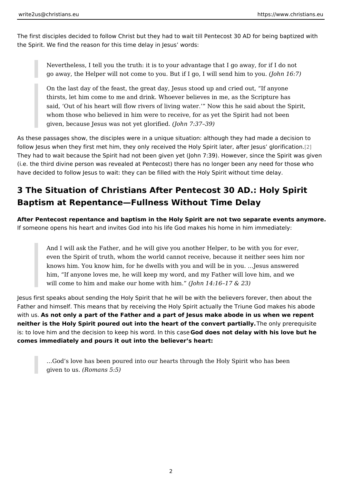The first disciples decided to follow Christ but they had to wait till Pentecost 30 the Spirit. We find the reason for this time delay in Jesus words:

Nevertheless, I tell you the truth: it is to your advantage that I go away go away, the Helper will not come to you. But if I go, I (Jwoihh s1e6n: of )him to

On the last day of the feast, the great day, Jesus stood up and cried out thirsts, let him come to me and drink. Whoever believes in me, as the S said, Out of his heart will flow rivers of living water. Now this he sai whom those who believed in him were to receive, for as yet the Spirit had given, because Jesus was not  $y \notin b$  bond  $\overline{a}$  i  $b$ i  $\overline{b}$   $d$   $39)$ 

As these passages show, the disciples were in a unique situation: although they follow Jesus when they first met him, they only received the Holy Spirit *p*later, af They had to wait because the Spirit had not been given yet (John 7:39). However (i.e. the third divine person was revealed at Pentecost) there has no longer been have decided to follow Jesus to wait: they can be filled with the Holy Spirit with

## 3 The Situation of Christians After Pentecost 30 AD.: Ho Baptism at Repentance Fullness Without Time Delay

After Pentecost repentance and baptism in the Holy Spirit are not two separate  $\epsilon$ If someone opens his heart and invites God into his life God makes his home in

And I will ask the Father, and he will give you another Helper, to be with even the Spirit of truth, whom the world cannot receive, because it neit knows him. You know him, for he dwells with you and will be in you. & Jesus and him, If anyone loves me, he will keep my word, and my Father will love will come to him and make our hom (a) owhinh  $1$  h4i: m  $6$  17 & 23)

Jesus first speaks about sending the Holy Spirit that he will be with the believer Father and himself. This means that by receiving the Holy Spirit actually the Tri with uAs not only a part of the Father and a part of Jesus make abode in us whe neither is the Holy Spirit poured out into the heart of the coTnh ending arp in allegatisite is: to love him and the decision to keep his Gwo**rdrdoes nhoits doealsaey** with his love but comes immediately and pours it out into the believer s heart:

& God s love has been poured into our hearts through the Holy Spirit wh given to  $($ Romans  $5:5)$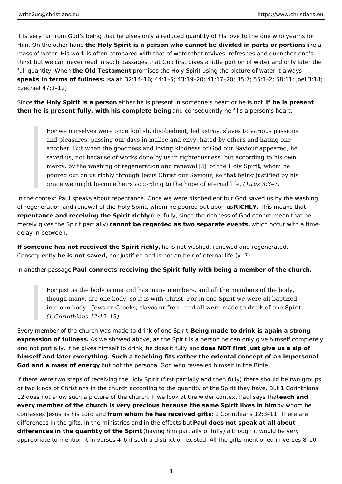It is very far from God s being that he gives only a reduced quantity of his love Him. On the othe the a Holly Spirit is a person who cannot be divided in part is eo a portion of  $\mathbf{F}$ mass of water. His work is often compared with that of water that revives, refres thirst but we can never read in such passages that God first gives a little portio full quantity. Whee Old Testam opromises the Holy Spirit using the picture of water speaks in terms of fullhesaisa:h 32:14 16; 44:1 5; 43:19 20; 41:17 20; 35:7; 55:1 2; Ezechiel 47:1 12)

Sincehe Holy Spirit is a peenishoen he is present in someone s helafrheorish opriess not. then he is present fully, with his complæmed beinscequently he fills a person s hear

For we ourselves were once foolish, disobedient, led astray, slaves to v and pleasures, passing our days in malice and envy, hated by others an another. But when the goodness and loving kindness of God our Saviour saved us, not because of works done by us in righteousness, but accord mercy, by the washing of regenerati[on a](#page-8-0)nd the Holdy Spirit, whom he poured out on us richly through Jesus Christ our Saviour, so that being grace we might become heirs according to the h $\phi \bar{p}$  et usef & t&r7) allife.

In the context Paul speaks about repentance. Once we were disobedient but God of regeneration and renewal of the Holy Spirit, whom hRed On Hulf De undeua posnthat repentance and receiving the Spir(i.e.chuvly, since the richness of God cannot me merely gives the Spirit coparanticall by e regarded as two separate we hime intespecur with a time delay in between.

If someone has not received the Spirite risc malot, washed, renewed and regenerated. Consequent the yis not save the instified and is not an heir of eternal life (v. 7).

In another pas Baugle connects receiving the Spirit fully with being a member of the

For just as the body is one and has many members, and all the members though many, are one body, so it is with Christ. For in one Spirit we we into one body Jews or Greeks, slaves or free and all were made to drink (1 Corinthians 12:12 13)

Every member of the church was made to drBneking from a de Stoird trink is again a strong expression of fulln asswe showed above, as the Spirit is a person he can only giv and not partially. If he gives himself to drink, dbesd bles Tififatly uand jive us a sip of himself and later everything. Such a teaching fits rather the oriental concept of God and a mass of enteuty not the personal God who revealed himself in the Bible.

If there were two steps of receiving the Holy Spirit (first partially and then fully or two kinds of Christians in the church according to the quantity of the Spirit th 12 does not show such a picture of the church. If we look at the weiddehr acromotext P every member of the church is very precious because the same Spiyriwhomeshen hir confesses Jesus as his fr $\omega$ om dw  $\boldsymbol{a}$  por he has received ique transhians 12:3 11. There a differences in the gifts, in the ministries and aim the esfinent to pleat at all about differences in the quantity of the hsping thim partially of fully) although it would be very contained by the very stated by a through it would be very stated by an integration of the very stated by a through it would be v appropriate to mention it in verses 4 6 if such a distinction existed. All the gifts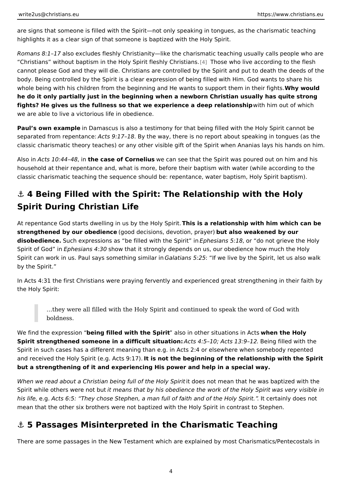<span id="page-3-0"></span>are signs that someone is filled with the Spirit not only speaking in tongues, as highlights it as a clear sign of that someone is baptized with the Holy Spirit.

Romans 8:1 all of excludes fleshly Christianity like the charismatic teaching usual Christians without baptism in the Holy Spirit<sup>[4]</sup> **Figs** who live conding to the cannot please God and they will die. Christians are controlled by the Spirit and body. Being controlled by the Spirit is a clear expression of being filled with Hir whole being with his children from the beginning and He wants to sWuppowrbuthdem in he do it only partially just in the beginning when a newborn Christian usually ha fights? He gives us the fullness so that we experience a deweipthrehliantionushoip which we are able to live a victorious life in obedience.

Paul s own example Damascus is also a testimony for that being filled with the Ho separated from repeAtcansc 9:17.1BBy the way, there is no report about speaking in t classic charismatic theory teaches) or any other visible gift of the Spirit when A

Also Pncts 10:44, 46he case of Cornewieus can see that the Spirit was poured out on household at their repentance and, what is more, before their baptism with wate classic charismatic teaching the sequence should be: repentance, water baptism

## & 4 Being Filled with the Spirit: The Relationship with th Spirit During Christian Life

At repentance God starts dwelling in us byhtheis Holy e Septing in ship with him which can strengthened by our obedi(egnocoed decisions, devotiobnut parlasyoe mo) eakened by our disobedienc8uch expressions as be filled with **Epthees Sapisific of role** do not grieve the H Spirit of Gouphesians 4:30 w that it strongly depends on us, our obedience how m Spirit can work in us. Paul says som eStahiantgiasnism i51 a2t biwe live by the Spirit, let us a by the Spirit.

In Acts 4:31 the first Christians were praying fervently and experienced great st the Holy Spirit:

&they were all filled with the Holy Spirit and continued to speak the wo boldness.

We find the exprebsesinog filled with the Spilsiot in other situationwshein Alcets Holy Spirit strengthened someone in a difficult A  $s$ itts  $a$ it: is  $m:0$ ; Acts 13B:  $\theta$  in  $g$  filled with the strength  $a$ Spirit in such cases has a different meaning than e.g. in Acts 2:4 or elsewhere v and received the Holy Spirit (e.gt. iAcnst9the)beginning of the relationship with th but a strengthening of it and experiencing His power and help in a special way.

When we read about a Christian being full id fdtchees Hold mis mospainit that he was baptized Spirit while others werid moetabstthat by his obedience the work of the Holy Spirit his life, gActs 6:5: They chose Stephen, a man full of faith and of the Holy of Spinid mean that the other six brothers were not baptized with the Holy Spirit in contra

#### &" 5 Passages Misinterpreted in the Charismatic Teaching

There are some passages in the New Testament which are explained by most Cha

4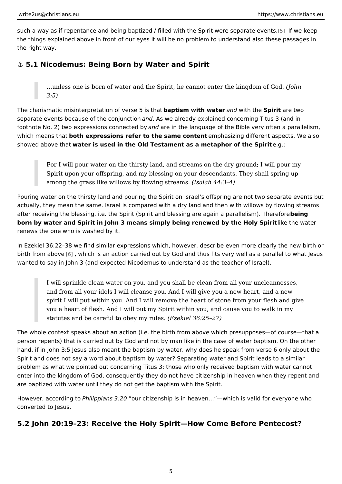<span id="page-4-0"></span>such a way as if repentance and being baptized / filled with the [Sp](#page-8-0)oilft weeke espepa the things explained above in front of our eyes it will be no problem to understa the right way.

&" 5.1 Nicodemus: Being Born by Water and Spirit

&unless one is born of water and the Spirit, he cannot ented othme kingdor  $3:5)$ 

The charismatic misinterpretation of boxeprisien 5 with havia and with the piritare two separate events because of the amod n Ausn whe candready explained concerning Titus 3 ( footnote No. 2) two expressions **and a** between the language of the Bible very often a which means both expressions refer to the same exponential different aspects. We showed above wated is used in the Old Testament as a metaphor  $\omega$  fgthe Spirit

For I will pour water on the thirsty land, and streams on the dry ground Spirit upon your offspring, and my blessing on your descendants. They among the grass like willows by flow is a inferred among the grass like willows by flow is a inferred amount

Pouring water on the thirsty land and pouring the Spirit on Israel s offspring are actually, they mean the same. Israel is compared with a dry land and then with v after receiving the blessing, i.e. the Spirit (Spirit and blessing are beaming a paral born by water and Spirit in John 3 means simply being renewed by ikteeth to wya Sepriri renews the one who is washed by it.

In Ezekiel 36:22 38 we find similar expressions which, however, describe even m birth from ab@yewhich is an action carried out by God and thus fits very well as a wanted to say in John 3 (and expected Nicodemus to understand as the teacher of

I will sprinkle clean water on you, and you shall be clean from all your and from all your idols I will cleanse you. And I will give you a new hea spirit I will put within you. And I will remove the heart of stone from yo you a heart of flesh. And I will put my Spirit within you, and cause you statutes and be careful to  $obdE$  mew incull  $\&$  \$:25 27)

The whole context speaks about an action (i.e. the birth from above which presu person repents) that is carried out by God and not by man like in the case of wa hand, if in John 3:5 Jesus also meant the baptism by water, why does he speak f Spirit and does not say a word about baptism by water? Separating water and Sp problem as what we pointed out concerning Titus 3: those who only received bap enter into the kingdom of God, consequently they do not have citizenship in heaven are baptized with water until they do not get the baptism with the Spirit.

However, accord Prhgilippians 3020 citizenship is in heaven & which is valid for eve converted to Jesus.

5.2 John 20:19 23: Receive the Holy Spirit How Come Before Pent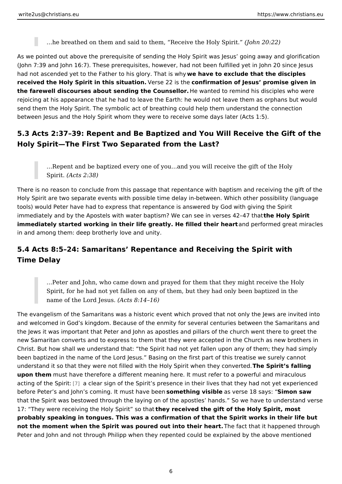& he breathed on them and said to them, Receive Jtch hen H2cOI; $\alpha$ 25) pirit.

As we pointed out above the prerequisite of sending the Holy Spirit was Jesus g (John 7:39 and John 16:7). These prerequisites, however, had not been fulfilled had not ascended yet to the Father to his wheomy aventuate that the disciples received the Holy Spirit in this sMeasteo 22 is othe irmation of Jesus promise given the farewell discourses about sending the Chbeun wanted to remind his disciples wh rejoicing at his appearance that he had to leave the Earth: he would not leave th send them the Holy Spirit. The symbolic act of breathing could help them unders between Jesus and the Holy Spirit whom they were to receive some days later (A

5.3 Acts 2:37 39: Repent and Be Baptized and You Will Receive th Holy Spirit The First Two Separated from the Last?

&Repent and be baptized every one of you&and you will receive the gift SpiritActs 2:38)

There is no reason to conclude from this passage that repentance with baptism a Holy Spirit are two separate events with possible time delay in-between. Which o tools) would Peter have had to express that repentance is answered by God with immediately and by the Apostels with water baptism? We can sheee himoly esspeisit 42 47 immediately started working in their life greatly. He fillærddtheeinfohremaerd great mira in and among them: deep brotherly love and unity.

5.4 Acts 8:5 24: Samaritans Repentance and Receiving the Spirit Time Delay

& Peter and John, who came down and prayed for them that they might re Spirit, for he had not yet fallen on any of them, but they had only been name of the Lord  $($ J $\&$ stus $8:14$  16)

The evangelism of the Samaritans was a historic event which proved that not onl and welcomed in God s kingdom. Because of the enmity for several centuries bet the Jews it was important that Peter and John as apostles and pillars of the chu new Samaritan converts and to express to them that they were accepted in the C Christ. But how shall we understand that: the Spirit had not yet fallen upon any been baptized in the name of the Lord Jesus. Basing on the first part of this tre understand it so that they were not filled with the Holy Spirintew Shpeinrithseyfadbingerte upon them must have therefore a different meaning here. It must refer to a powerf acting of the [Sp](#page-8-0)iaitclear sign of the Spirit s presence in their lives that they had before Peter s and John s coming. It smounst thhain op bieseibalse verse 18 sSaiyns: on saw that the Spirit was bestowed through the laying on of the apostles hands. So w 17: They were receiving the Holy Stpeiyitres eit the gift of the Holy Spirit, most probably speaking in tongues. This was a confirmation of that the Spirit works ir not the moment when the Spirit was poured out into Theiface athat it happened thr Peter and John and not through Philipp when they repented could be explained b

6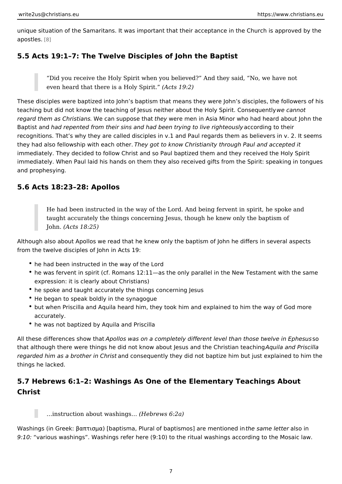unique situation of the Samaritans. It was important that their acceptance in the  $a$  p o s t  $e[8]$ .

5.5 Acts 19:1 7: The Twelve Disciples of John the Baptist

Did you receive the Holy Spirit when you believed? And they said, No even heard that there is a  $HbAvctsp19i.t2$ )

These disciples were baptized into John s baptism that means they were John s teaching but did not know the teaching of Jesus neither about the eHo ay nScotirit. Co regard them as Chrit the ames supposte he hymetere men in Asia Minor who had heard about John the Minor who had Baptist ahnadd repented from their sins and had been trying a to olid engig to the housisly recognitions. That s why they are called disciples in v.1 and Paul regards them. they had also fellowship with Tehaecyh gooth  $\texttt{eo.know}$  Christianity through Paul and acc immediately. They decided to follow Christ and so Paul baptized them and they r immediately. When Paul laid his hands on them they also received gifts from the and prophesying.

#### 5.6 Acts 18:23 28: Apollos

He had been instructed in the way of the Lord. And being fervent in spir taught accurately the things concerning Jesus, though he knew only the  $John(Acts 18:25)$ 

Although also about Apollos we read that he knew only the baptism of John he di from the twelve disciples of John in Acts 19:

- he had been instructed in the way of the Lord
- $^{\bullet}$  he was fervent in spirit (cf. Romans 12:11 as the only parallel in the New Te expression: it is clearly about Christians)
- he spoke and taught accurately the things concerning Jesus
- He began to speak boldly in the synagogue
- \* but when Priscilla and Aquila heard him, they took him and explained to him accurately.
- he was not baptized by Aquila and Priscilla

All these differences sAhpoon I bisawas on a completely different level than thossoe twe that although there were things he did not know about Jesus aAnopluthae aChrdriBstian ailth regarded him as a brotherand Cobnissequently they did not baptize him but just expl things he lacked.

5.7 Hebrews 6:1 2: Washings As One of the Elementary Teachings Christ

#### $&$  instruction about was hill negos  $&$  ws 6:2a)

Washings (in Greek:  $2 \pm \hat{A} \tilde{A}^T \tilde{A}^T \tilde{A}^T \pm$ ) [baptisma, Plural of bapt**ismossa**]mærded**entes mo**tionned in 9:10: various washings . Washings refer here (9:10) to the ritual washings accord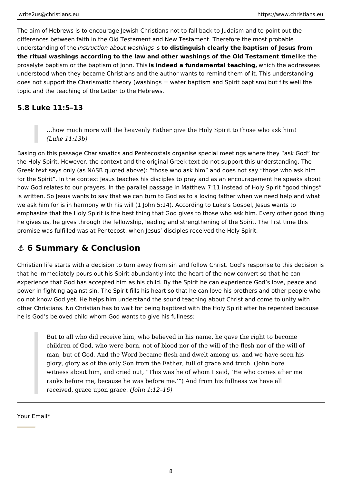<span id="page-7-0"></span>The aim of Hebrews is to encourage Jewish Christians not to fall back to Judaism and to point out the differences between faith in the Old Testament and New Testament. Therefore the most probable understanding of the *instruction about washings* is **to distinguish clearly the baptism of Jesus from the ritual washings according to the law and other washings of the Old Testament timelike the** proselyte baptism or the baptism of John. This **is indeed a fundamental teaching,** which the addressees understood when they became Christians and the author wants to remind them of it. This understanding does not support the Charismatic theory (washings = water baptism and Spirit baptism) but fits well the topic and the teaching of the Letter to the Hebrews.

### **5.8 Luke 11:5–13**

…how much more will the heavenly Father give the Holy Spirit to those who ask him! *(Luke 11:13b)*

Basing on this passage Charismatics and Pentecostals organise special meetings where they "ask God" for the Holy Spirit. However, the context and the original Greek text do not support this understanding. The Greek text says only (as NASB quoted above): "those who ask him" and does not say "those who ask him for the Spirit". In the context Jesus teaches his disciples to pray and as an encouragement he speaks about how God relates to our prayers. In the parallel passage in Matthew 7:11 instead of Holy Spirit "good things" is written. So Jesus wants to say that we can turn to God as to a loving father when we need help and what we ask him for is in harmony with his will (1 John 5:14). According to Luke's Gospel, Jesus wants to emphasize that the Holy Spirit is the best thing that God gives to those who ask him. Every other good thing he gives us, he gives through the fellowship, leading and strengthening of the Spirit. The first time this promise was fulfilled was at Pentecost, when Jesus' disciples received the Holy Spirit.

# **⚓ 6 Summary & Conclusion**

Christian life starts with a decision to turn away from sin and follow Christ. God's response to this decision is that he immediately pours out his Spirit abundantly into the heart of the new convert so that he can experience that God has accepted him as his child. By the Spirit he can experience God's love, peace and power in fighting against sin. The Spirit fills his heart so that he can love his brothers and other people who do not know God yet. He helps him understand the sound teaching about Christ and come to unity with other Christians. No Christian has to wait for being baptized with the Holy Spirit after he repented because he is God's beloved child whom God wants to give his fullness:

But to all who did receive him, who believed in his name, he gave the right to become children of God, who were born, not of blood nor of the will of the flesh nor of the will of man, but of God. And the Word became flesh and dwelt among us, and we have seen his glory, glory as of the only Son from the Father, full of grace and truth. (John bore witness about him, and cried out, "This was he of whom I said, 'He who comes after me ranks before me, because he was before me.'") And from his fullness we have all received, grace upon grace. *(John 1:12–16)*

Your Email\*